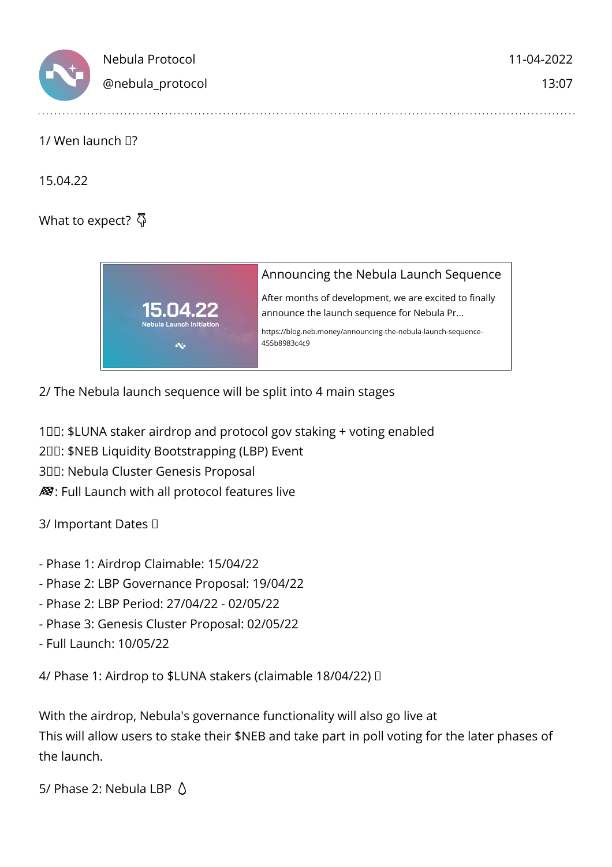

## 1/ Wen launch  $\Box$ ?

15.04.22

What to expect?  $\bar{\Phi}$ 



2/ The Nebula launch sequence will be split into 4 main stages

100: \$LUNA staker airdrop and protocol gov staking + voting enabled

200: \$NEB Liquidity Bootstrapping (LBP) Event

300: Nebula Cluster Genesis Proposal

 $\mathcal{B}$ : Full Launch with all protocol features live

3/ Important Dates

- Phase 1: Airdrop Claimable: 15/04/22
- Phase 2: LBP Governance Proposal: 19/04/22
- Phase 2: LBP Period: 27/04/22 02/05/22
- Phase 3: Genesis Cluster Proposal: 02/05/22
- Full Launch: 10/05/22

4/ Phase 1: Airdrop to \$LUNA stakers (claimable 18/04/22)

With the airdrop, Nebula's governance functionality will also go live at This will allow users to stake their \$NEB and take part in poll voting for the later phases of the launch.

5/ Phase 2: Nebula LBP  $\Lambda$